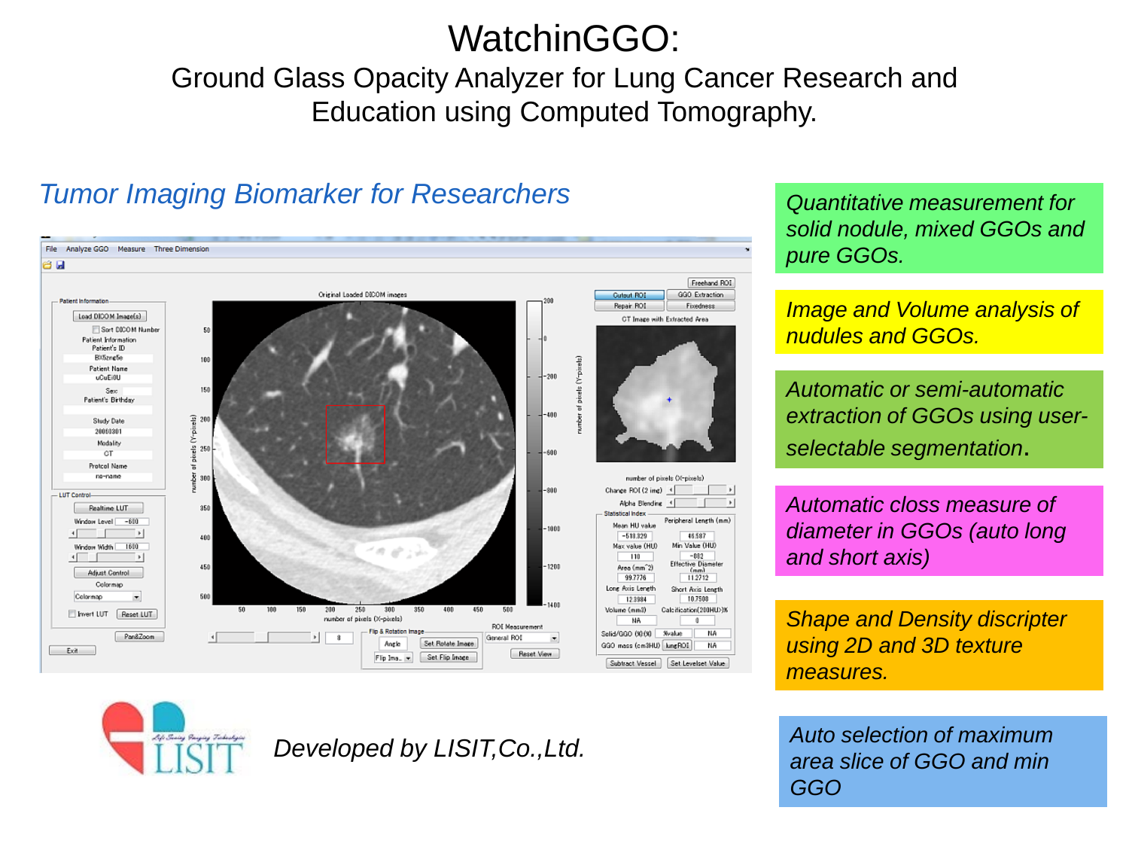## WatchinGGO:

### Ground Glass Opacity Analyzer for Lung Cancer Research and Education using Computed Tomography.

#### File Analyze GGO Measure Three Dimension 8 W Freehand ROI Original Loaded DICOM impres GGO Extraction **Cutout ROI Patient Information** Repair ROI Fixedness Load DICOM Image(s) **CT Image with Extracted Area** Sort DCOM Numbe 50 **Patient Information** Patient's ID **BXfiznefie** 100 **Patient Name** uCuEi0U 150 Sex Patient's Birthday 400 Study Date 곻 20060301 Modality 음 250 600  $\alpha$ T af pix **Protcol Name** no-name winber  $300$ number of nixels (X-nixels)  $-800$ Change ROI (2 img) 4 - LUT Control Alpha Blending 4 **Realtime LUT** 350 Statistical Inder Window Level -610 Peripheral Length (mm) Mean HIJ value 1001  $-513.329$ 46.587 400 Min Value (HU) Window Width 1600 Max value (HLD)  $110$  $-882$ ve Dias 450  $-1201$ Area (mm<sup>-2)</sup> **Adjust Control** 997776 119719 Short Axis Length Long Axis Length Colormac 12.3984 10,7508 200 Volume (mm3) Calcification(200HU>1%) Fivert LUT Reset LUT number of pixels (X-pixels) NA  $^{\circ}$ ROI Measurement & Rotation Image Salid/BBD (99/90 - %value **NA** Pan8Zoom  $^{8}$ General ROI Angle Set Rotate Image GGO mass (cm3HU) kingROI NA Exit Reset View Flip Ima. v Set Flip Image Set Levelset Value Subtract Vessel

#### *Tumor Imaging Biomarker for Researchers*

*Quantitative measurement for solid nodule, mixed GGOs and pure GGOs.*

*Image and Volume analysis of nudules and GGOs.*

*Automatic or semi-automatic extraction of GGOs using userselectable segmentation*.

*Automatic closs measure of diameter in GGOs (auto long and short axis)*

*Shape and Density discripter using 2D and 3D texture measures.*

*Auto selection of maximum area slice of GGO and min GGO*



*Developed by LISIT,Co.,Ltd.*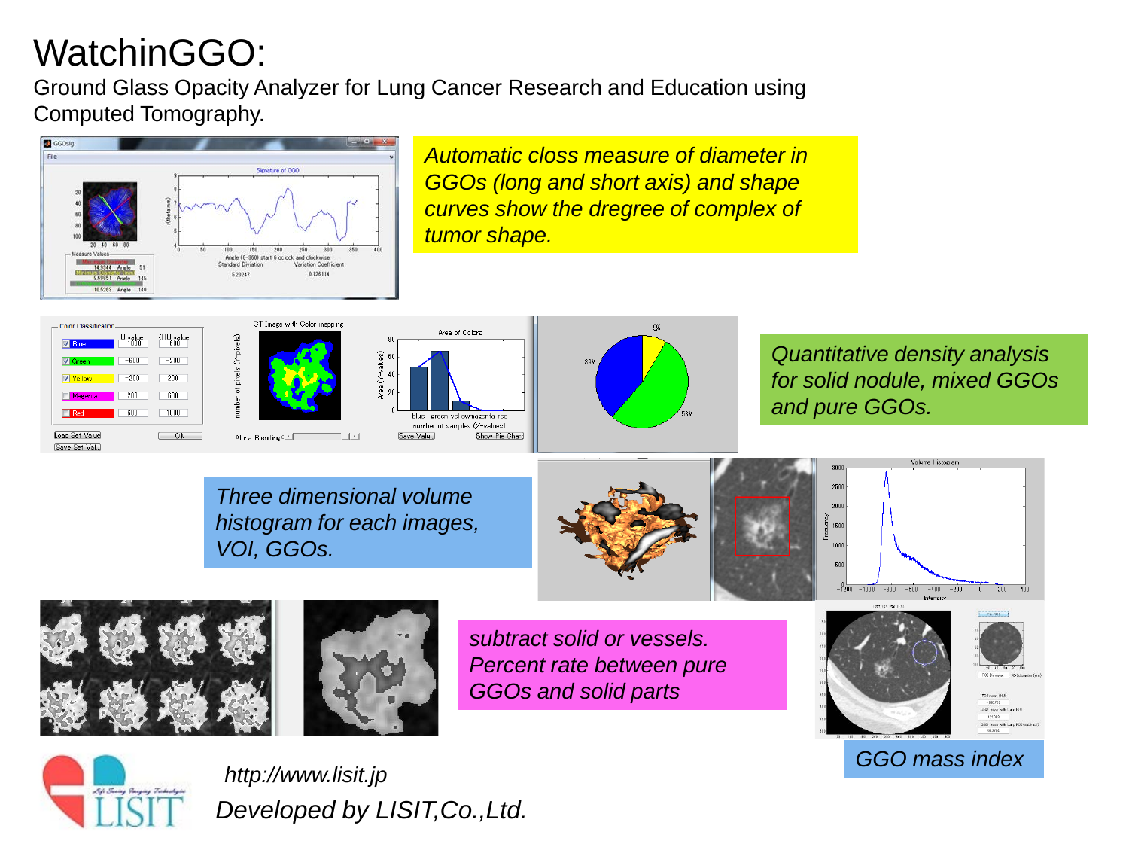# WatchinGGO:

Ground Glass Opacity Analyzer for Lung Cancer Research and Education using Computed Tomography.



*Automatic closs measure of diameter in GGOs (long and short axis) and shape curves show the dregree of complex of tumor shape.*





CT Image with Color mapping





*Quantitative density analysis for solid nodule, mixed GGOs and pure GGOs.*

*Three dimensional volume histogram for each images, VOI, GGOs.*











*subtract solid or vessels. Percent rate between pure GGOs and solid parts*





*Developed by LISIT,Co.,Ltd. GGO mass index http://www.lisit.jp*